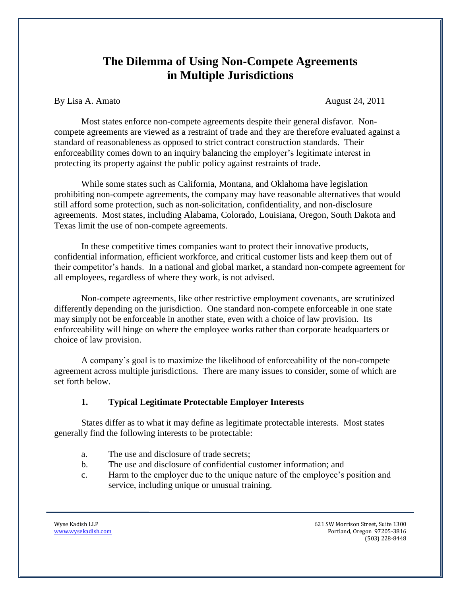# **The Dilemma of Using Non-Compete Agreements in Multiple Jurisdictions**

By Lisa A. Amato **August 24, 2011** 

Most states enforce non-compete agreements despite their general disfavor. Noncompete agreements are viewed as a restraint of trade and they are therefore evaluated against a standard of reasonableness as opposed to strict contract construction standards. Their enforceability comes down to an inquiry balancing the employer's legitimate interest in protecting its property against the public policy against restraints of trade.

While some states such as California, Montana, and Oklahoma have legislation prohibiting non-compete agreements, the company may have reasonable alternatives that would still afford some protection, such as non-solicitation, confidentiality, and non-disclosure agreements. Most states, including Alabama, Colorado, Louisiana, Oregon, South Dakota and Texas limit the use of non-compete agreements.

In these competitive times companies want to protect their innovative products, confidential information, efficient workforce, and critical customer lists and keep them out of their competitor's hands. In a national and global market, a standard non-compete agreement for all employees, regardless of where they work, is not advised.

Non-compete agreements, like other restrictive employment covenants, are scrutinized differently depending on the jurisdiction. One standard non-compete enforceable in one state may simply not be enforceable in another state, even with a choice of law provision. Its enforceability will hinge on where the employee works rather than corporate headquarters or choice of law provision.

A company's goal is to maximize the likelihood of enforceability of the non-compete agreement across multiple jurisdictions. There are many issues to consider, some of which are set forth below.

#### **1. Typical Legitimate Protectable Employer Interests**

States differ as to what it may define as legitimate protectable interests. Most states generally find the following interests to be protectable:

- a. The use and disclosure of trade secrets;
- b. The use and disclosure of confidential customer information; and
- c. Harm to the employer due to the unique nature of the employee's position and service, including unique or unusual training.

Wyse Kadish LLP 621 SW Morrison Street, Suite 1300 www.wysekadish.com **Portland, Oregon 97205-3816** (503) 228-8448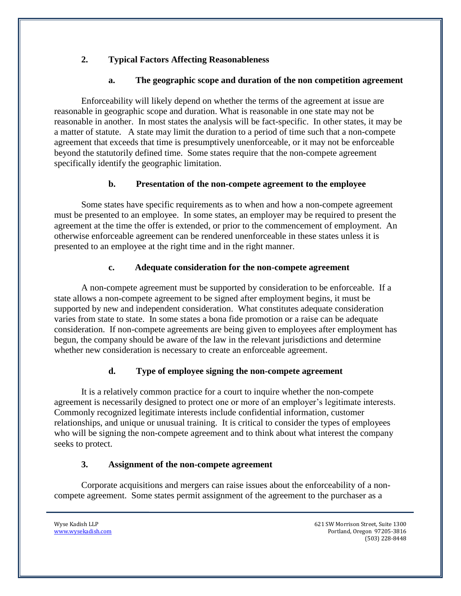## **2. Typical Factors Affecting Reasonableness**

### **a. The geographic scope and duration of the non competition agreement**

Enforceability will likely depend on whether the terms of the agreement at issue are reasonable in geographic scope and duration. What is reasonable in one state may not be reasonable in another. In most states the analysis will be fact-specific. In other states, it may be a matter of statute. A state may limit the duration to a period of time such that a non-compete agreement that exceeds that time is presumptively unenforceable, or it may not be enforceable beyond the statutorily defined time. Some states require that the non-compete agreement specifically identify the geographic limitation.

### **b. Presentation of the non-compete agreement to the employee**

Some states have specific requirements as to when and how a non-compete agreement must be presented to an employee. In some states, an employer may be required to present the agreement at the time the offer is extended, or prior to the commencement of employment. An otherwise enforceable agreement can be rendered unenforceable in these states unless it is presented to an employee at the right time and in the right manner.

### **c. Adequate consideration for the non-compete agreement**

A non-compete agreement must be supported by consideration to be enforceable. If a state allows a non-compete agreement to be signed after employment begins, it must be supported by new and independent consideration. What constitutes adequate consideration varies from state to state. In some states a bona fide promotion or a raise can be adequate consideration. If non-compete agreements are being given to employees after employment has begun, the company should be aware of the law in the relevant jurisdictions and determine whether new consideration is necessary to create an enforceable agreement.

## **d. Type of employee signing the non-compete agreement**

It is a relatively common practice for a court to inquire whether the non-compete agreement is necessarily designed to protect one or more of an employer's legitimate interests. Commonly recognized legitimate interests include confidential information, customer relationships, and unique or unusual training. It is critical to consider the types of employees who will be signing the non-compete agreement and to think about what interest the company seeks to protect.

### **3. Assignment of the non-compete agreement**

Corporate acquisitions and mergers can raise issues about the enforceability of a noncompete agreement. Some states permit assignment of the agreement to the purchaser as a

Wyse Kadish LLP 621 SW Morrison Street, Suite 1300 www.wysekadish.com Portland, Oregon 97205-3816 (503) 228-8448